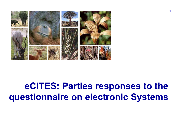

# eCITES: Parties responses to the questionnaire on electronic Systems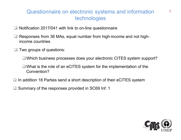## Questionnaire on electronic systems and information technologies

- $\Box$  Notification 2017/041 with link to on-line questionnaire
- Responses from 36 MAs, equal number from high-income and not highincome countries
- $\Box$  Two groups of questions:
	- □ Which business processes does your electronic CITES system support?
	- What is the role of an eCITES system for the implementation of the Convention?
- $\Box$  In addition 18 Parties send a short description of their eCITES system
- $\Box$  Summary of the responses provided in SC69 Inf. 1

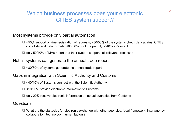## Which business processes does your electronic CITES system support?

#### Most systems provide only partial automation

- $\Box$  <50% support on-line registration of requests, <80/50% of the systems check data against CITES code lists and data formats, <80/50% print the permit, < 40% ePayment
- $\Box$  only 50/40% of MAs report that their system supports all relevant processes

#### Not all systems can generate the annual trade report

 $\Box$  <80/60% of systems generate the annual trade report

#### Gaps in integration with Scientific Authority and Customs

- □ <40/10% of Systems connect with the Scientific Authority
- $\Box$  <10/30% provide electronic information to Customs
- $\Box$  only 20% receive electronic information on actual quantities from Customs

#### Questions:

 $\Box$  What are the obstacles for electronic exchange with other agencies: legal framework, inter agency collaboration, technology, human factors?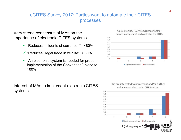## eCITES Survey 2017: Parties want to automate their CITES processes

Very strong consensus of MAs on the importance of electronic CITES systems

- $\checkmark$  "Reduces incidents of corruption": > 80%
- $\checkmark$  "Reduces illegal trade in wildlife": > 80%
- $\checkmark$  "An electronic system is needed for proper  $\checkmark$ <sup>0</sup> implementation of the Convention": close to 100%

## Interest of MAs to implement electronic CITES<br>
Interested to implement and/or further<br>
enhance our electronic CITES system systems

An electronic CITES system is important for proper management and control of the CITES





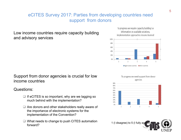## eCITES Survey 2017: Parties from developing countries need support from donors

Low income countries require capacity building<br>implementation approaches lessons learned and advisory services

Support from donor agencies is crucial for low income countries

## Questions:

- $\Box$  If eCITES is so important, why are we lagging so  $\Box$ much behind with the implementation?
- $\Box$  Are donors and other stakeholders really aware of the importance of electronic systems for the implementation of the Convention?
- $\Box$  What needs to change to push CITES automation forward?







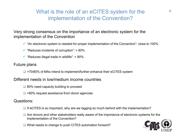## What is the role of an eCITES system for the implementation of the Convention?

Very strong consensus on the importance of an electronic system for the implementation of the Convention

- $\checkmark$  "An electronic system is needed for proper implementation of the Convention": close to 100%
- $\checkmark$  "Reduces incidents of corruption": > 80%
- $\checkmark$  "Reduces illegal trade in wildlife": > 80%

### Future plans

 $\Box$  >70/80% of MAs intend to implement/further enhance their eCITES system

#### Different needs in low/medium income countries

- $\Box$  80% need capacity building to proceed
- $\Box$  >80% request assistance from donor agencies

## Questions:

- $\Box$  If eCITES is so important, why are we lagging so much behind with the implementation?
- $\Box$  Are donors and other stakeholders really aware of the importance of electronic systems for the implementation of the Convention?
- □ What needs to change to push CITES automation forward?